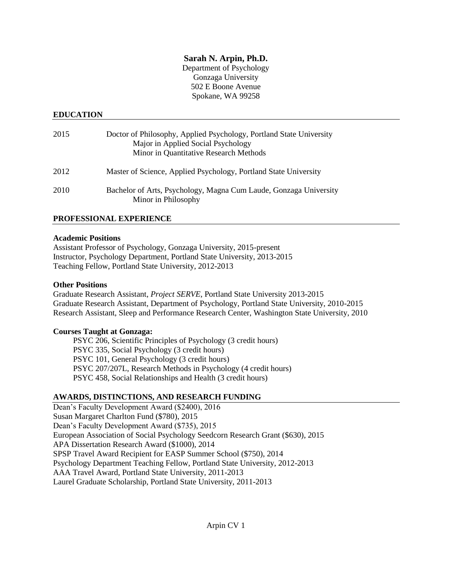## **Sarah N. Arpin, Ph.D.**

Department of Psychology Gonzaga University 502 E Boone Avenue Spokane, WA 99258

### **EDUCATION**

| 2015 | Doctor of Philosophy, Applied Psychology, Portland State University<br>Major in Applied Social Psychology<br>Minor in Quantitative Research Methods |
|------|-----------------------------------------------------------------------------------------------------------------------------------------------------|
| 2012 | Master of Science, Applied Psychology, Portland State University                                                                                    |
| 2010 | Bachelor of Arts, Psychology, Magna Cum Laude, Gonzaga University<br>Minor in Philosophy                                                            |

## **PROFESSIONAL EXPERIENCE**

#### **Academic Positions**

Assistant Professor of Psychology, Gonzaga University, 2015-present Instructor, Psychology Department, Portland State University, 2013-2015 Teaching Fellow, Portland State University, 2012-2013

### **Other Positions**

Graduate Research Assistant, *Project SERVE*, Portland State University 2013-2015 Graduate Research Assistant, Department of Psychology, Portland State University, 2010-2015 Research Assistant, Sleep and Performance Research Center, Washington State University, 2010

### **Courses Taught at Gonzaga:**

PSYC 206, Scientific Principles of Psychology (3 credit hours) PSYC 335, Social Psychology (3 credit hours) PSYC 101, General Psychology (3 credit hours) PSYC 207/207L, Research Methods in Psychology (4 credit hours) PSYC 458, Social Relationships and Health (3 credit hours)

### **AWARDS, DISTINCTIONS, AND RESEARCH FUNDING**

Dean's Faculty Development Award (\$2400), 2016 Susan Margaret Charlton Fund (\$780), 2015 Dean's Faculty Development Award (\$735), 2015 European Association of Social Psychology Seedcorn Research Grant (\$630), 2015 APA Dissertation Research Award (\$1000), 2014 SPSP Travel Award Recipient for EASP Summer School (\$750), 2014 Psychology Department Teaching Fellow, Portland State University, 2012-2013 AAA Travel Award, Portland State University, 2011-2013 Laurel Graduate Scholarship, Portland State University, 2011-2013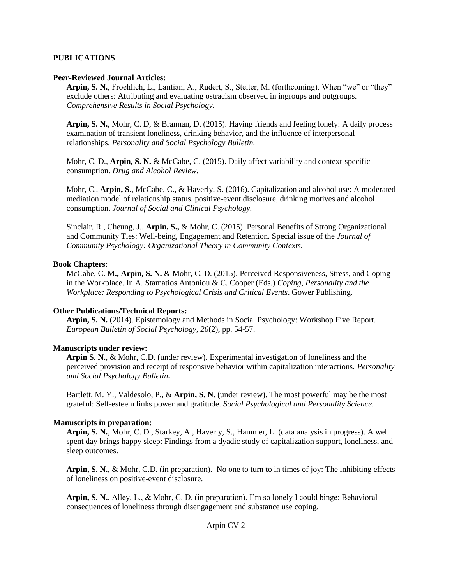#### **PUBLICATIONS**

#### **Peer-Reviewed Journal Articles:**

**Arpin, S. N.**, Froehlich, L., Lantian, A., Rudert, S., Stelter, M. (forthcoming). When "we" or "they" exclude others: Attributing and evaluating ostracism observed in ingroups and outgroups. *Comprehensive Results in Social Psychology.*

**Arpin, S. N.**, Mohr, C. D, & Brannan, D. (2015). Having friends and feeling lonely: A daily process examination of transient loneliness, drinking behavior, and the influence of interpersonal relationships. *Personality and Social Psychology Bulletin.*

Mohr, C. D., **Arpin, S. N.** & McCabe, C. (2015). Daily affect variability and context-specific consumption. *Drug and Alcohol Review.* 

Mohr, C., **Arpin, S**., McCabe, C., & Haverly, S. (2016). Capitalization and alcohol use: A moderated mediation model of relationship status, positive-event disclosure, drinking motives and alcohol consumption. *Journal of Social and Clinical Psychology.*

Sinclair, R., Cheung, J., **Arpin, S.,** & Mohr, C. (2015). Personal Benefits of Strong Organizational and Community Ties: Well-being, Engagement and Retention. Special issue of the *Journal of Community Psychology: Organizational Theory in Community Contexts.*

#### **Book Chapters:**

McCabe, C. M**., Arpin, S. N.** & Mohr, C. D. (2015). Perceived Responsiveness, Stress, and Coping in the Workplace. In A. Stamatios Antoniou & C. Cooper (Eds.) *Coping, Personality and the Workplace: Responding to Psychological Crisis and Critical Events*. Gower Publishing.

### **Other Publications/Technical Reports:**

**Arpin, S. N.** (2014). Epistemology and Methods in Social Psychology: Workshop Five Report. *European Bulletin of Social Psychology*, *26*(2), pp. 54-57.

### **Manuscripts under review:**

**Arpin S. N.**, & Mohr, C.D. (under review). Experimental investigation of loneliness and the perceived provision and receipt of responsive behavior within capitalization interactions. *Personality and Social Psychology Bulletin***.**

Bartlett, M. Y., Valdesolo, P., & **Arpin, S. N**. (under review). The most powerful may be the most grateful: Self-esteem links power and gratitude. *Social Psychological and Personality Science.*

### **Manuscripts in preparation:**

**Arpin, S. N.**, Mohr, C. D., Starkey, A., Haverly, S., Hammer, L. (data analysis in progress). A well spent day brings happy sleep: Findings from a dyadic study of capitalization support, loneliness, and sleep outcomes.

**Arpin, S. N.**, & Mohr, C.D. (in preparation). No one to turn to in times of joy: The inhibiting effects of loneliness on positive-event disclosure.

**Arpin, S. N.**, Alley, L., & Mohr, C. D. (in preparation). I'm so lonely I could binge: Behavioral consequences of loneliness through disengagement and substance use coping.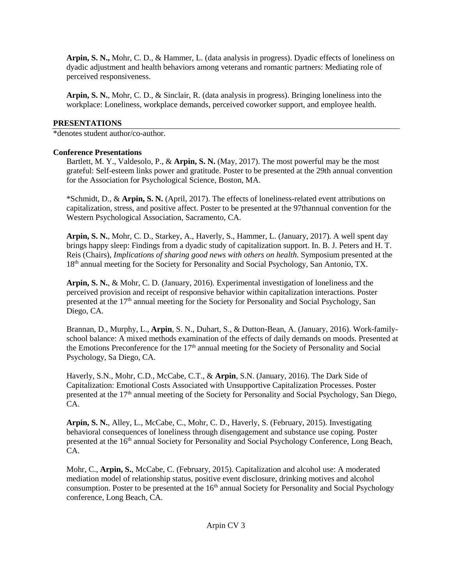**Arpin, S. N.,** Mohr, C. D., & Hammer, L. (data analysis in progress). Dyadic effects of loneliness on dyadic adjustment and health behaviors among veterans and romantic partners: Mediating role of perceived responsiveness.

**Arpin, S. N.**, Mohr, C. D., & Sinclair, R. (data analysis in progress). Bringing loneliness into the workplace: Loneliness, workplace demands, perceived coworker support, and employee health.

## **PRESENTATIONS**

\*denotes student author/co-author.

## **Conference Presentations**

Bartlett, M. Y., Valdesolo, P., & **Arpin, S. N.** (May, 2017). The most powerful may be the most grateful: Self-esteem links power and gratitude. Poster to be presented at the 29th annual convention for the Association for Psychological Science, Boston, MA.

\*Schmidt, D., & **Arpin, S. N.** (April, 2017). The effects of loneliness-related event attributions on capitalization, stress, and positive affect. Poster to be presented at the 97thannual convention for the Western Psychological Association, Sacramento, CA.

**Arpin, S. N.**, Mohr, C. D., Starkey, A., Haverly, S., Hammer, L. (January, 2017). A well spent day brings happy sleep: Findings from a dyadic study of capitalization support. In. B. J. Peters and H. T. Reis (Chairs), *Implications of sharing good news with others on health*. Symposium presented at the 18<sup>th</sup> annual meeting for the Society for Personality and Social Psychology, San Antonio, TX.

**Arpin, S. N.**, & Mohr, C. D. (January, 2016). Experimental investigation of loneliness and the perceived provision and receipt of responsive behavior within capitalization interactions. Poster presented at the 17th annual meeting for the Society for Personality and Social Psychology, San Diego, CA.

Brannan, D., Murphy, L., **Arpin**, S. N., Duhart, S., & Dutton-Bean, A. (January, 2016). Work-familyschool balance: A mixed methods examination of the effects of daily demands on moods. Presented at the Emotions Preconference for the  $17<sup>th</sup>$  annual meeting for the Society of Personality and Social Psychology, Sa Diego, CA.

Haverly, S.N., Mohr, C.D., McCabe, C.T., & **Arpin**, S.N. (January, 2016). The Dark Side of Capitalization: Emotional Costs Associated with Unsupportive Capitalization Processes. Poster presented at the 17<sup>th</sup> annual meeting of the Society for Personality and Social Psychology, San Diego, CA.

**Arpin, S. N.**, Alley, L., McCabe, C., Mohr, C. D., Haverly, S. (February, 2015). Investigating behavioral consequences of loneliness through disengagement and substance use coping. Poster presented at the 16<sup>th</sup> annual Society for Personality and Social Psychology Conference, Long Beach, CA.

Mohr, C., **Arpin, S.**, McCabe, C. (February, 2015). Capitalization and alcohol use: A moderated mediation model of relationship status, positive event disclosure, drinking motives and alcohol consumption. Poster to be presented at the 16<sup>th</sup> annual Society for Personality and Social Psychology conference, Long Beach, CA.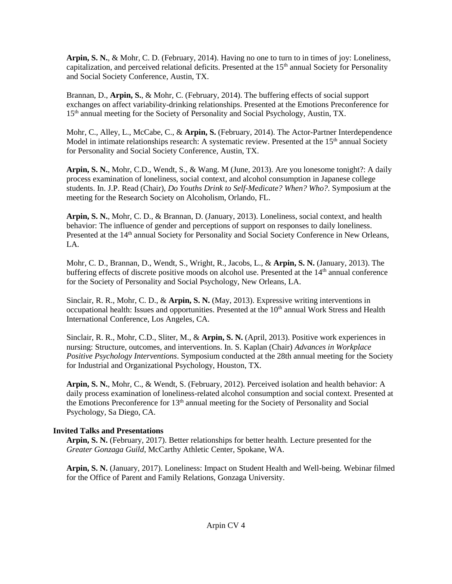**Arpin, S. N.**, & Mohr, C. D. (February, 2014). Having no one to turn to in times of joy: Loneliness, capitalization, and perceived relational deficits. Presented at the  $15<sup>th</sup>$  annual Society for Personality and Social Society Conference, Austin, TX.

Brannan, D., **Arpin, S.**, & Mohr, C. (February, 2014). The buffering effects of social support exchanges on affect variability-drinking relationships. Presented at the Emotions Preconference for 15<sup>th</sup> annual meeting for the Society of Personality and Social Psychology, Austin, TX.

Mohr, C., Alley, L., McCabe, C., & **Arpin, S.** (February, 2014). The Actor-Partner Interdependence Model in intimate relationships research: A systematic review. Presented at the  $15<sup>th</sup>$  annual Society for Personality and Social Society Conference, Austin, TX.

**Arpin, S. N.**, Mohr, C.D., Wendt, S., & Wang. M (June, 2013). Are you lonesome tonight?: A daily process examination of loneliness, social context, and alcohol consumption in Japanese college students. In. J.P. Read (Chair), *Do Youths Drink to Self-Medicate? When? Who?*. Symposium at the meeting for the Research Society on Alcoholism, Orlando, FL.

**Arpin, S. N.**, Mohr, C. D., & Brannan, D. (January, 2013). Loneliness, social context, and health behavior: The influence of gender and perceptions of support on responses to daily loneliness. Presented at the 14<sup>th</sup> annual Society for Personality and Social Society Conference in New Orleans, LA.

Mohr, C. D., Brannan, D., Wendt, S., Wright, R., Jacobs, L., & **Arpin, S. N.** (January, 2013). The buffering effects of discrete positive moods on alcohol use. Presented at the 14<sup>th</sup> annual conference for the Society of Personality and Social Psychology, New Orleans, LA.

Sinclair, R. R., Mohr, C. D., & **Arpin, S. N.** (May, 2013). Expressive writing interventions in occupational health: Issues and opportunities. Presented at the 10<sup>th</sup> annual Work Stress and Health International Conference, Los Angeles, CA.

Sinclair, R. R., Mohr, C.D., Sliter, M., & **Arpin, S. N.** (April, 2013). Positive work experiences in nursing: Structure, outcomes, and interventions. In. S. Kaplan (Chair) *Advances in Workplace Positive Psychology Interventions*. Symposium conducted at the 28th annual meeting for the Society for Industrial and Organizational Psychology, Houston, TX.

**Arpin, S. N.**, Mohr, C., & Wendt, S. (February, 2012). Perceived isolation and health behavior: A daily process examination of loneliness-related alcohol consumption and social context. Presented at the Emotions Preconference for  $13<sup>th</sup>$  annual meeting for the Society of Personality and Social Psychology, Sa Diego, CA.

# **Invited Talks and Presentations**

**Arpin, S. N.** (February, 2017). Better relationships for better health. Lecture presented for the *Greater Gonzaga Guild*, McCarthy Athletic Center, Spokane, WA.

**Arpin, S. N.** (January, 2017). Loneliness: Impact on Student Health and Well-being. Webinar filmed for the Office of Parent and Family Relations, Gonzaga University.